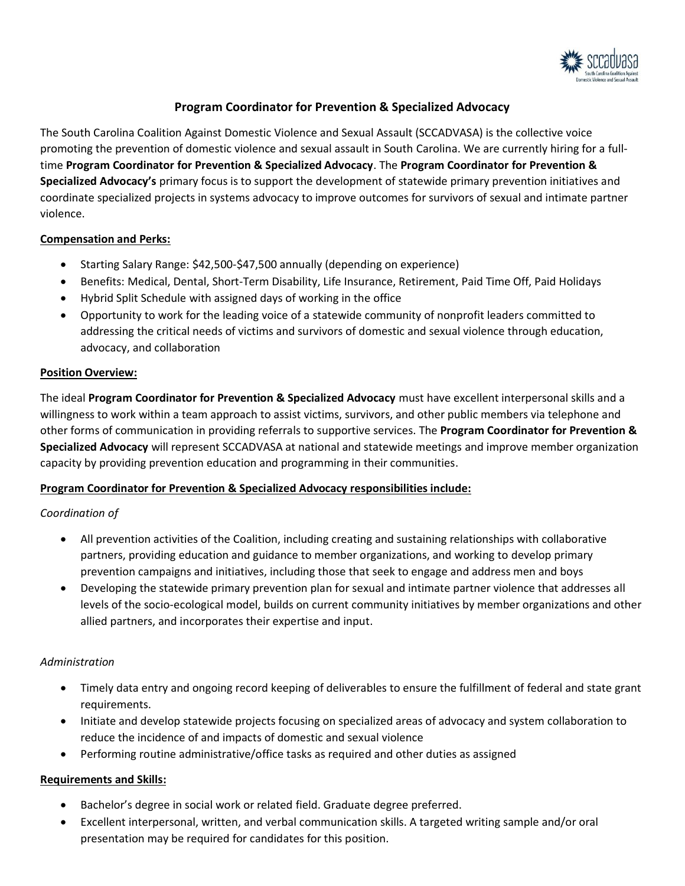

# **Program Coordinator for Prevention & Specialized Advocacy**

The South Carolina Coalition Against Domestic Violence and Sexual Assault (SCCADVASA) is the collective voice promoting the prevention of domestic violence and sexual assault in South Carolina. We are currently hiring for a fulltime **Program Coordinator for Prevention & Specialized Advocacy**. The **Program Coordinator for Prevention & Specialized Advocacy's** primary focus is to support the development of statewide primary prevention initiatives and coordinate specialized projects in systems advocacy to improve outcomes for survivors of sexual and intimate partner violence.

### **Compensation and Perks:**

- Starting Salary Range: \$42,500-\$47,500 annually (depending on experience)
- Benefits: Medical, Dental, Short-Term Disability, Life Insurance, Retirement, Paid Time Off, Paid Holidays
- Hybrid Split Schedule with assigned days of working in the office
- Opportunity to work for the leading voice of a statewide community of nonprofit leaders committed to addressing the critical needs of victims and survivors of domestic and sexual violence through education, advocacy, and collaboration

### **Position Overview:**

The ideal **Program Coordinator for Prevention & Specialized Advocacy** must have excellent interpersonal skills and a willingness to work within a team approach to assist victims, survivors, and other public members via telephone and other forms of communication in providing referrals to supportive services. The **Program Coordinator for Prevention & Specialized Advocacy** will represent SCCADVASA at national and statewide meetings and improve member organization capacity by providing prevention education and programming in their communities.

# **Program Coordinator for Prevention & Specialized Advocacy responsibilities include:**

# *Coordination of*

- All prevention activities of the Coalition, including creating and sustaining relationships with collaborative partners, providing education and guidance to member organizations, and working to develop primary prevention campaigns and initiatives, including those that seek to engage and address men and boys
- Developing the statewide primary prevention plan for sexual and intimate partner violence that addresses all levels of the socio-ecological model, builds on current community initiatives by member organizations and other allied partners, and incorporates their expertise and input.

# *Administration*

- Timely data entry and ongoing record keeping of deliverables to ensure the fulfillment of federal and state grant requirements.
- Initiate and develop statewide projects focusing on specialized areas of advocacy and system collaboration to reduce the incidence of and impacts of domestic and sexual violence
- Performing routine administrative/office tasks as required and other duties as assigned

# **Requirements and Skills:**

- Bachelor's degree in social work or related field. Graduate degree preferred.
- Excellent interpersonal, written, and verbal communication skills. A targeted writing sample and/or oral presentation may be required for candidates for this position.